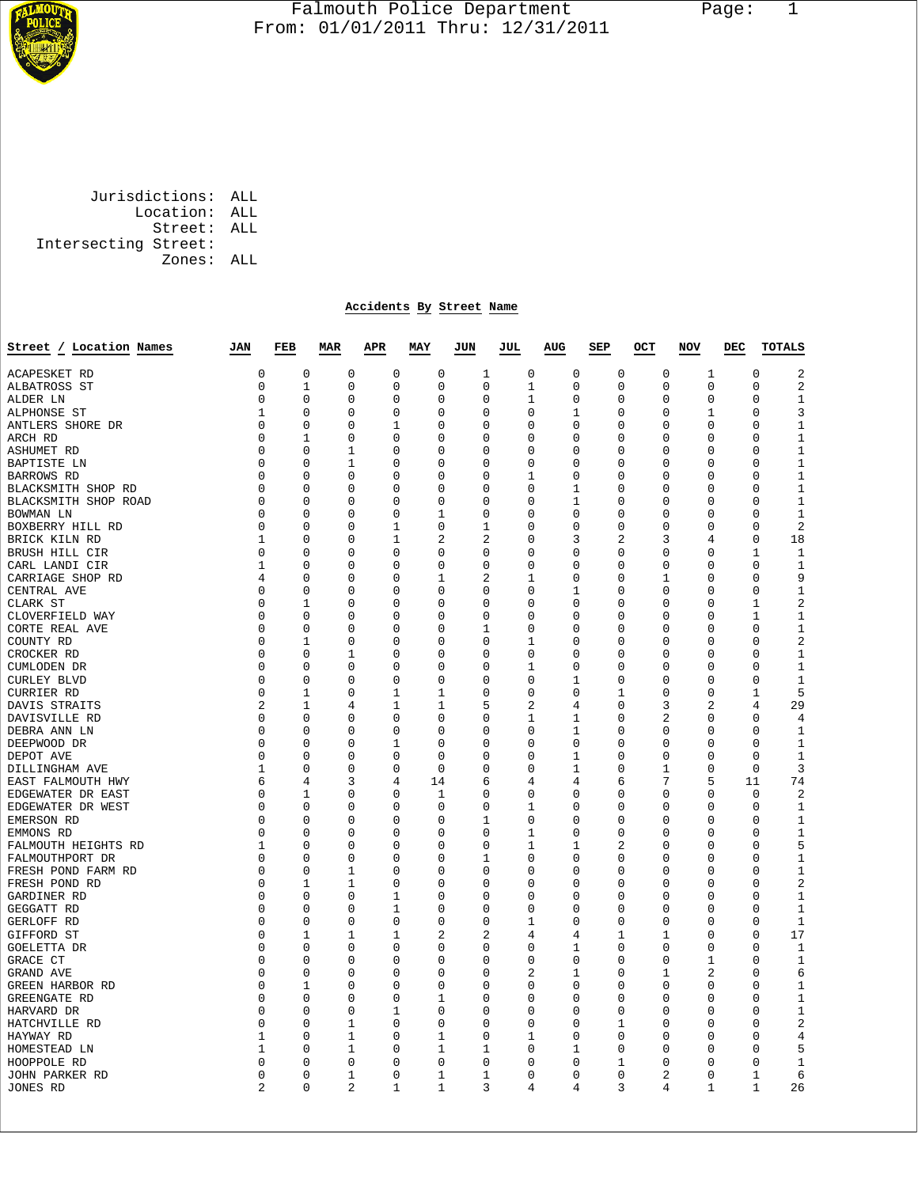

## Falmouth Police Department Page: 1  $\frac{1}{3}$  From: 01/01/2011 Thru: 12/31/2011

 Jurisdictions: ALL Location: ALL Street: ALL Intersecting Street: Zones: ALL

## **Accidents By Street Name**

| Street / Location Names | JAN            | FEB          | <b>MAR</b>  | APR         | MAY            | JUN         | JUL            | AUG            | SEP      | OCT            | NOV          | DEC          | <b>TOTALS</b>          |
|-------------------------|----------------|--------------|-------------|-------------|----------------|-------------|----------------|----------------|----------|----------------|--------------|--------------|------------------------|
| <b>ACAPESKET RD</b>     | 0              | 0            | $\mathbf 0$ | $\mathbf 0$ | $\mathbf 0$    | 1           | 0              | 0              | 0        | 0              | 1            | $\mathbf 0$  | $\overline{2}$         |
| ALBATROSS ST            | 0              | 1            | 0           | 0           | 0              | 0           | 1              | 0              | 0        | 0              | $\mathbf 0$  |              | $\sqrt{2}$<br>$\Omega$ |
| ALDER LN                | 0              | $\mathbf 0$  | 0           | 0           | $\mathbf 0$    | 0           | 1              | 0              | 0        | $\mathbf 0$    | $\mathbf 0$  | 0            | $\mathbf{1}$           |
| ALPHONSE ST             | $\mathbf{1}$   | $\Omega$     | $\Omega$    | $\Omega$    | $\Omega$       | $\Omega$    | $\Omega$       | 1              | 0        | $\Omega$       | 1            | $\Omega$     | 3                      |
| ANTLERS SHORE DR        | 0              | 0            | 0           | 1           | 0              | 0           | 0              | 0              | 0        | 0              | $\mathbf 0$  | 0            | $\mathbf{1}$           |
| ARCH RD                 | 0              | 1            | 0           | 0           | 0              | 0           | 0              | 0              | 0        | 0              | $\mathbf 0$  | 0            | $1\,$                  |
| ASHUMET RD              | 0              | 0            | 1           | 0           | 0              | $\Omega$    | 0              | 0              | 0        | 0              | $\mathbf 0$  | 0            | $\mathbf{1}$           |
| BAPTISTE LN             | 0              | 0            | 1           | 0           | 0              | 0           | 0              | 0              | 0        | 0              | 0            | 0            | $\mathbf{1}$           |
| BARROWS RD              | 0              | 0            | $\Omega$    | 0           | 0              | 0           | 1              | 0              | 0        | 0              | 0            | $\Omega$     | $\mathbf{1}$           |
| BLACKSMITH SHOP RD      | 0              | 0            | 0           | 0           | $\mathbf 0$    | 0           | 0              | 1              | 0        | 0              | $\mathbf 0$  | $\Omega$     | $1\,$                  |
| BLACKSMITH SHOP ROAD    | 0              | 0            | $\Omega$    | 0           | 0              | $\Omega$    | 0              | 1              | 0        | 0              | 0            | 0            | 1                      |
| BOWMAN LN               | 0              | 0            | 0           | 0           | 1              | 0           | $\Omega$       | $\mathbf 0$    | 0        | 0              | $\mathbf 0$  | $\Omega$     | $\mathbf{1}$           |
| BOXBERRY HILL RD        | 0              | 0            | $\Omega$    | 1           | $\mathbf 0$    | 1           | 0              | 0              | 0        | 0              | 0            | 0            | $\sqrt{2}$             |
| BRICK KILN RD           | 1              | 0            | $\Omega$    | 1           | $\overline{2}$ | 2           | 0              | 3              | 2        | 3              | 4            | 0            | 18                     |
| BRUSH HILL CIR          | 0              | 0            | $\Omega$    | 0           | 0              | $\Omega$    | 0              | 0              | $\Omega$ | 0              | 0            | 1            | $\mathbf 1$            |
| CARL LANDI CIR          | $\mathbf 1$    | $\mathbf 0$  | $\mathbf 0$ | 0           | $\mathbf 0$    | $\Omega$    | $\Omega$       | $\Omega$       | 0        | 0              | $\mathbf 0$  | $\Omega$     | $\mathbf 1$            |
| CARRIAGE SHOP RD        | 4              | 0            | 0           | 0           | 1              | 2           | 1              | 0              | 0        | 1              | 0            | 0            | 9                      |
| CENTRAL AVE             | 0              | 0            | 0           | 0           | 0              | 0           | 0              | 1              | 0        | 0              | 0            |              | $\mathbf{1}$<br>0      |
| CLARK ST                | 0              | 1            | 0           | 0           | 0              | 0           | 0              | 0              | 0        | $\mathsf 0$    | 0            | 1            | $\overline{2}$         |
| CLOVERFIELD WAY         | 0              | 0            | $\Omega$    | 0           | 0              | 0           | 0              | $\Omega$       | 0        | 0              | 0            | 1            | 1                      |
| CORTE REAL AVE          | 0              | $\mathbf 0$  | 0           | 0           | $\mathbf 0$    | 1           | 0              | 0              | 0        | 0              | 0            | $\mathsf 0$  | $\mathbf{1}$           |
| COUNTY RD               | 0              | 1            | 0           | 0           | 0              | 0           | 1              | 0              | 0        | 0              | $\mathbf 0$  | 0            | 2                      |
| CROCKER RD              | 0              | $\mathbf 0$  | 1           | 0           | 0              | 0           | 0              | 0              | 0        | 0              | 0            |              | $\mathbf{1}$<br>0      |
| CUMLODEN DR             | 0              | $\mathbf 0$  | 0           | 0           | $\mathbf 0$    | 0           | 1              | $\Omega$       | 0        | 0              | 0            | $\Omega$     | $\mathbf 1$            |
| CURLEY BLVD             | 0              | $\mathbf 0$  | $\mathbf 0$ | 0           | $\mathbf 0$    | $\mathbf 0$ | 0              | 1              | 0        | 0              | $\mathbf 0$  |              | $1\,$<br>0             |
| CURRIER RD              | 0              | 1            | 0           | 1           | 1              | 0           | 0              | 0              | 1        | 0              | 0            | 1            | 5                      |
| DAVIS STRAITS           | $\overline{2}$ | $\mathbf{1}$ | 4           | $\mathbf 1$ | $\mathbf{1}$   | 5           | 2              | 4              | 0        | 3              | 2            |              | 29<br>4                |
| DAVISVILLE RD           | 0              | $\mathbf 0$  | 0           | 0           | $\mathbf 0$    | 0           | 1              | 1              | 0        | 2              | $\mathbf 0$  | 0            | $\overline{4}$         |
| DEBRA ANN LN            | 0              | 0            | 0           | 0           | 0              | 0           | 0              | 1              | 0        | 0              | 0            |              | 1<br>0                 |
| DEEPWOOD DR             | 0              | $\mathbf 0$  | 0           | 1           | 0              | 0           | 0              | 0              | 0        | 0              | 0            | 0            | 1                      |
| DEPOT AVE               | 0              | 0            | 0           | 0           | 0              | $\Omega$    | 0              | 1              | 0        | 0              | 0            | 0            | 1                      |
| DILLINGHAM AVE          | 1              | $\mathbf 0$  | 0           | 0           | $\mathbf 0$    | 0           | 0              | 1              | 0        | 1              | $\mathbf 0$  | 0            | 3                      |
| EAST FALMOUTH HWY       | 6              | 4            | 3           | 4           | 14             | 6           | 4              | 4              | 6        | 7              | 5            | 11           | 74                     |
| EDGEWATER DR EAST       | 0              | 1            | 0           | 0           | 1              | 0           | 0              | 0              | 0        | 0              | 0            | 0            | $\overline{2}$         |
| EDGEWATER DR WEST       | 0              | 0            | 0           | 0           | 0              | $\Omega$    | 1              | 0              | 0        | 0              | 0            | 0            | 1                      |
| EMERSON RD              | 0              | $\mathbf 0$  | 0           | 0           | $\mathbf 0$    | 1           | 0              | 0              | 0        | 0              | 0            | 0            | $\mathbf{1}$           |
| EMMONS RD               | 0              | 0            | 0           | 0           | 0              | 0           | 1              | 0              | 0        | 0              | 0            | 0            | $1\,$                  |
| FALMOUTH HEIGHTS RD     | 1              | 0            | 0           | 0           | 0              | 0           | $\mathbf 1$    | 1              | 2        | 0              | 0            | 0            | 5                      |
| FALMOUTHPORT DR         | 0              | 0            | 0           | 0           | 0              | 1           | 0              | 0              | 0        | 0              | 0            | 0            | $\mathbf{1}$           |
| FRESH POND FARM RD      | 0              | 0            | 1           | 0           | 0              | $\Omega$    | $\Omega$       | 0              | 0        | $\Omega$       | 0            | $\Omega$     | $\mathbf{1}$           |
| FRESH POND RD           | 0              | 1            | 1           | 0           | 0              | 0           | 0              | 0              | 0        | 0              | 0            | 0            | $\sqrt{2}$             |
| GARDINER RD             | 0              | 0            | $\Omega$    | 1           | 0              | $\Omega$    | $\Omega$       | 0              | 0        | $\Omega$       | $\Omega$     | 0            | 1                      |
| GEGGATT RD              | 0              | 0            | $\Omega$    | $\mathbf 1$ | $\mathbf 0$    | $\Omega$    | $\Omega$       | 0              | $\Omega$ | $\Omega$       | 0            | $\Omega$     | $\mathbf{1}$           |
| GERLOFF RD              | $\Omega$       | 0            | $\Omega$    | $\mathbf 0$ | 0              | $\Omega$    | 1              | 0              | 0        | $\Omega$       | 0            | $\Omega$     | 1                      |
| GIFFORD ST              | 0              | 1            | 1           | $\mathbf 1$ | $\overline{2}$ | 2           | $\overline{4}$ | $\overline{4}$ | 1        | 1              | $\mathbf 0$  | $\Omega$     | 17                     |
| GOELETTA DR             | 0              | 0            | $\Omega$    | 0           | $\Omega$       | $\Omega$    | 0              | 1              | 0        | 0              | 0            | $\Omega$     | $\mathbf 1$            |
| GRACE CT                | 0              | $\Omega$     | $\Omega$    | 0           | $\mathbf 0$    | $\Omega$    | $\Omega$       | $\mathbf 0$    | 0        | 0              | 1            | 0            | $\mathbf{1}$           |
| GRAND AVE               | 0              | 0            | 0           | 0           | $\mathbf 0$    | 0           | 2              | 1              | 0        | 1              | 2            | 0            | 6                      |
| GREEN HARBOR RD         | 0              | 1            | 0           | 0           | 0              | 0           | 0              | 0              | 0        | 0              | 0            | $\Omega$     | 1                      |
| GREENGATE RD            | 0              | 0            | 0           | 0           | 1              | 0           | 0              | 0              | 0        | 0              | 0            | 0            | $1\,$                  |
| HARVARD DR              | 0              | 0            | $\Omega$    | 1           | $\Omega$       | $\Omega$    | $\Omega$       | $\Omega$       | 0        | 0              | 0            | $\Omega$     | $\mathbf{1}$           |
| HATCHVILLE RD           | 0              | $\mathbf 0$  | 1           | 0           | $\mathbf 0$    | 0           | 0              | 0              | 1        | 0              | 0            | 0            | 2                      |
| HAYWAY RD               | 1              | 0            | 1           | 0           | 1              | 0           | 1              | 0              | 0        | 0              | 0            | $\Omega$     | $\overline{4}$         |
| HOMESTEAD LN            | 1              | 0            | $\mathbf 1$ | 0           | 1              | 1           | 0              | 1              | 0        | 0              | 0            |              | 5<br>0                 |
| HOOPPOLE RD             | 0              | $\Omega$     | 0           | 0           | $\mathbf 0$    | $\Omega$    | 0              | $\Omega$       | 1        | 0              | 0            | $\Omega$     | $\mathbf 1$            |
| JOHN PARKER RD          | 0              | $\mathbf 0$  | 1           | 0           | 1              | 1           | 0              | 0              | 0        | 2              | 0            | 1            | 6                      |
| JONES RD                | 2              | $\Omega$     | 2           | $\mathbf 1$ | 1              | 3           | 4              | $\overline{4}$ | 3        | $\overline{4}$ | $\mathbf{1}$ | $\mathbf{1}$ | 26                     |
|                         |                |              |             |             |                |             |                |                |          |                |              |              |                        |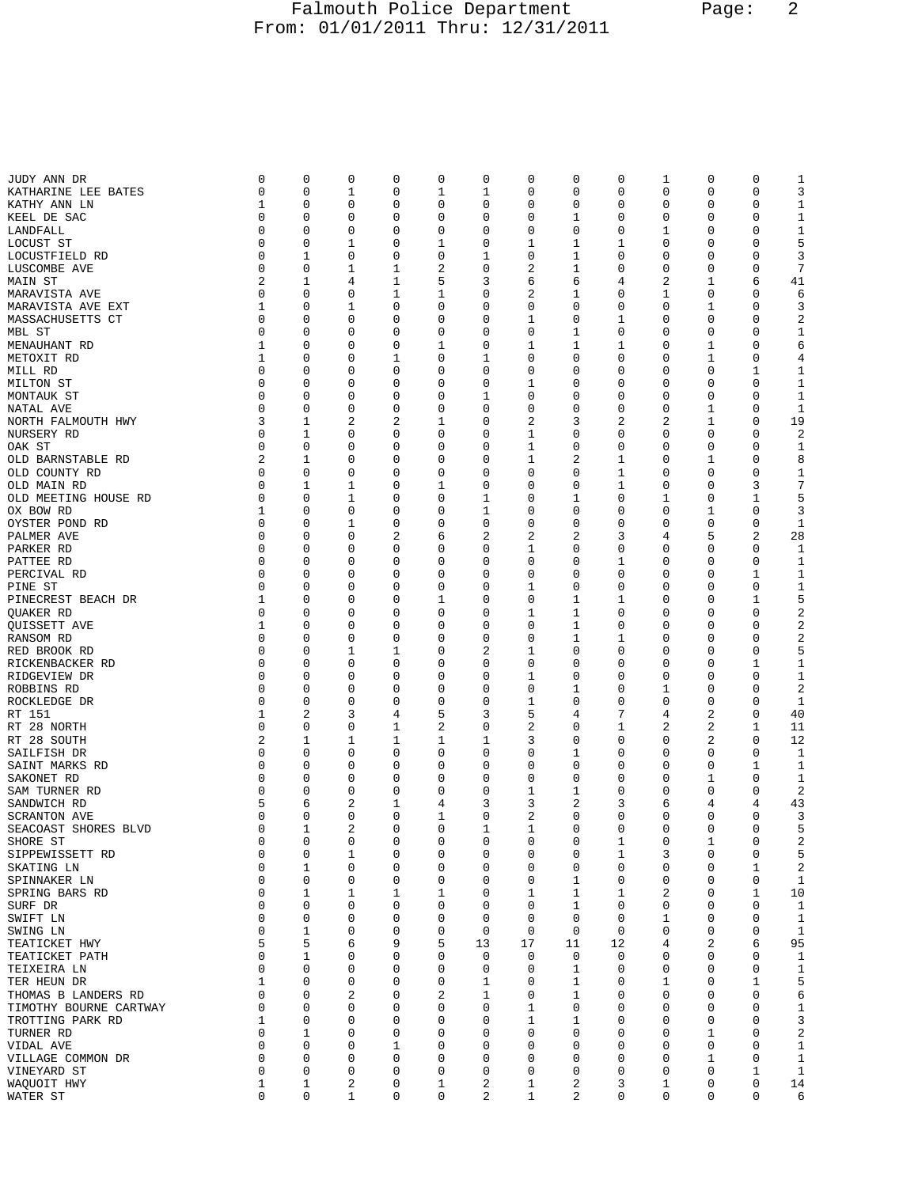## Falmouth Police Department Page: 2 From: 01/01/2011 Thru: 12/31/2011

| JUDY ANN DR            | 0           | 0           | 0           | 0 | 0           | 0  | 0           | 0  | 0  | 1 | 0           | 0 | 1                |
|------------------------|-------------|-------------|-------------|---|-------------|----|-------------|----|----|---|-------------|---|------------------|
| KATHARINE LEE BATES    | 0           | 0           | 1           | 0 | 1           | 1  | 0           | 0  | 0  | 0 | 0           | 0 | 3                |
| KATHY ANN LN           | 1           | 0           | 0           | 0 | 0           | 0  | 0           | 0  | 0  | 0 | 0           | 0 | $\mathbf 1$      |
|                        |             |             |             |   |             |    |             |    |    |   |             |   |                  |
| KEEL DE SAC            | 0           | 0           | 0           | 0 | 0           | 0  | 0           | 1  | 0  | 0 | 0           | 0 | 1                |
| LANDFALL               | 0           | 0           | 0           | 0 | 0           | 0  | 0           | 0  | 0  | 1 | 0           | 0 | 1                |
| LOCUST ST              | 0           | 0           | 1           | 0 | 1           | 0  | 1           | 1  | 1  | 0 | 0           | 0 | 5                |
|                        |             |             |             |   |             |    |             |    |    |   |             |   |                  |
| LOCUSTFIELD RD         | 0           | 1           | 0           | 0 | 0           | 1  | 0           | 1  | 0  | 0 | 0           | 0 | 3                |
| LUSCOMBE AVE           | 0           | 0           | 1           | 1 | 2           | 0  | 2           | 1  | 0  | 0 | 0           | 0 | 7                |
|                        |             |             |             |   |             |    |             |    |    |   |             |   |                  |
| MAIN ST                | 2           | 1           | 4           | 1 | 5           | 3  | 6           | 6  | 4  | 2 | 1           | 6 | 41               |
| MARAVISTA AVE          | 0           | 0           | 0           | 1 | 1           | 0  | 2           | 1  | 0  | 1 | 0           | 0 | 6                |
| MARAVISTA AVE EXT      | 1           | 0           | 1           | 0 | 0           | 0  | 0           | 0  | 0  | 0 | 1           | 0 | 3                |
|                        |             |             |             |   |             |    |             |    |    |   |             |   |                  |
| MASSACHUSETTS CT       | 0           | 0           | 0           | 0 | 0           | 0  | 1           | 0  | 1  | 0 | 0           | 0 | 2                |
| MBL ST                 | 0           | 0           | 0           | 0 | 0           | 0  | 0           | 1  | 0  | 0 | 0           | 0 | $\mathbf 1$      |
|                        | 1           | 0           | 0           | 0 | 1           | 0  | 1           | 1  | 1  | 0 | 1           | 0 |                  |
| MENAUHANT RD           |             |             |             |   |             |    |             |    |    |   |             |   | 6                |
| METOXIT RD             | 1           | 0           | 0           | 1 | 0           | 1  | 0           | 0  | 0  | 0 | 1           | 0 | 4                |
| MILL RD                | 0           | 0           | 0           | 0 | 0           | 0  | 0           | 0  | 0  | 0 | 0           | 1 | $\mathbf 1$      |
|                        |             |             |             |   |             |    |             |    |    |   |             |   |                  |
| MILTON ST              | 0           | 0           | 0           | 0 | 0           | 0  | 1           | 0  | 0  | 0 | 0           | 0 | 1                |
| MONTAUK ST             | 0           | 0           | 0           | 0 | 0           | 1  | 0           | 0  | 0  | 0 | 0           | 0 | $\mathbf 1$      |
| NATAL AVE              | 0           | 0           | 0           | 0 | 0           | 0  | 0           | 0  | 0  | 0 | 1           | 0 | 1                |
|                        |             |             |             |   |             |    |             |    |    |   |             |   |                  |
| NORTH FALMOUTH HWY     | 3           | 1           | 2           | 2 | 1           | 0  | 2           | 3  | 2  | 2 | 1           | 0 | 19               |
| NURSERY RD             | 0           | 1           | 0           | 0 | 0           | 0  | 1           | 0  | 0  | 0 | 0           | 0 | 2                |
|                        | 0           | 0           | 0           | 0 | 0           | 0  | 1           | 0  |    | 0 | 0           | 0 |                  |
| OAK ST                 |             |             |             |   |             |    |             |    | 0  |   |             |   | 1                |
| OLD BARNSTABLE RD      | 2           | 1           | 0           | 0 | 0           | 0  | 1           | 2  | 1  | 0 | 1           | 0 | 8                |
| OLD COUNTY RD          | 0           | 0           | 0           | 0 | 0           | 0  | 0           | 0  | 1  | 0 | 0           | 0 | $\mathbf 1$      |
|                        |             |             |             |   |             |    |             |    |    |   |             |   |                  |
| OLD MAIN RD            | 0           | 1           | 1           | 0 | 1           | 0  | 0           | 0  | 1  | 0 | 0           | 3 | 7                |
| OLD MEETING HOUSE RD   | 0           | 0           | 1           | 0 | 0           | 1  | 0           | 1  | 0  | 1 | 0           | 1 | 5                |
| OX BOW RD              | 1           | 0           | 0           | 0 | 0           | 1  | 0           | 0  | 0  | 0 | 1           | 0 | 3                |
|                        |             |             |             |   |             |    |             |    |    |   |             |   |                  |
| OYSTER POND RD         | 0           | 0           | 1           | 0 | 0           | 0  | 0           | 0  | 0  | 0 | 0           | 0 | 1                |
| PALMER AVE             | 0           | 0           | 0           | 2 | 6           | 2  | 2           | 2  | 3  | 4 | 5           | 2 | 28               |
|                        |             |             |             |   |             |    |             |    |    |   |             |   |                  |
| PARKER RD              | 0           | 0           | 0           | 0 | 0           | 0  | 1           | 0  | 0  | 0 | 0           | 0 | 1                |
| PATTEE RD              | 0           | 0           | 0           | 0 | 0           | 0  | 0           | 0  | 1  | 0 | 0           | 0 | 1                |
| PERCIVAL RD            | 0           | 0           | 0           | 0 | 0           | 0  | 0           | 0  | 0  | 0 | 0           | 1 | $\mathbf 1$      |
|                        |             |             |             |   |             |    |             |    |    |   |             |   |                  |
| PINE ST                | 0           | 0           | 0           | 0 | 0           | 0  | 1           | 0  | 0  | 0 | 0           | 0 | 1                |
| PINECREST BEACH DR     | 1           | 0           | 0           | 0 | 1           | 0  | 0           | 1  | 1  | 0 | 0           | 1 | 5                |
| QUAKER RD              | 0           | 0           | 0           | 0 | 0           | 0  | 1           | 1  | 0  | 0 | 0           | 0 | 2                |
|                        |             |             |             |   |             |    |             |    |    |   |             |   |                  |
| QUISSETT AVE           | 1           | 0           | 0           | 0 | 0           | 0  | 0           | 1  | 0  | 0 | 0           | 0 | 2                |
| RANSOM RD              | 0           | 0           | 0           | 0 | 0           | 0  | 0           | 1  | 1  | 0 | 0           | 0 | 2                |
|                        |             |             |             |   |             |    |             |    |    |   |             |   |                  |
| RED BROOK RD           | 0           | 0           | 1           | 1 | 0           | 2  | 1           | 0  | 0  | 0 | 0           | 0 | 5                |
| RICKENBACKER RD        | 0           | 0           | 0           | 0 | 0           | 0  | 0           | 0  | 0  | 0 | 0           | 1 | 1                |
| RIDGEVIEW DR           | 0           | 0           | 0           | 0 | 0           | 0  | 1           | 0  | 0  | 0 | 0           | 0 | 1                |
|                        |             |             |             |   |             |    |             |    |    |   |             |   |                  |
| ROBBINS RD             | 0           | 0           | 0           | 0 | 0           | 0  | 0           | 1  | 0  | 1 | 0           | 0 | 2                |
| ROCKLEDGE DR           | 0           | 0           | 0           | 0 | 0           | 0  | 1           | 0  | 0  | 0 | 0           | 0 | 1                |
| RT 151                 | 1           | 2           | 3           | 4 | 5           | 3  | 5           | 4  | 7  | 4 | 2           | 0 | 40               |
|                        |             |             |             |   |             |    |             |    |    |   |             |   |                  |
| RT 28 NORTH            | 0           | 0           | 0           | 1 | 2           | 0  | 2           | 0  | 1  | 2 | 2           | 1 | 11               |
| RT 28 SOUTH            | 2           | 1           | 1           | 1 | 1           | 1  | 3           | 0  | 0  | 0 | 2           | 0 | 12               |
|                        |             |             |             |   |             |    |             |    |    |   |             |   |                  |
| SAILFISH DR            | 0           | 0           | 0           | 0 | 0           | 0  | 0           | 1  | 0  | 0 | 0           | 0 | 1                |
| SAINT MARKS RD         | 0           | 0           | 0           | 0 | 0           | 0  | 0           | 0  | 0  | 0 | 0           | 1 | 1                |
| SAKONET RD             | 0           | 0           | 0           | 0 | 0           | 0  | 0           | 0  | 0  | 0 | 1           | 0 | 1                |
|                        |             |             |             |   |             |    |             |    |    |   |             |   |                  |
| SAM TURNER RD          | 0           | 0           | 0           | 0 | 0           | 0  | 1           | 1  | 0  | 0 | 0           | 0 | 2                |
| SANDWICH RD            | 5           | 6           | 2           | 1 | 4           | 3  | 3           | 2  | 3  | 6 | 4           | 4 | 43               |
| <b>SCRANTON AVE</b>    | 0           | 0           | 0           | 0 | 1           | 0  | 2           | 0  | 0  | 0 | 0           | 0 | 3                |
|                        |             |             |             |   |             |    |             |    |    |   |             |   |                  |
| SEACOAST SHORES BLVD   | $\mathbf 0$ | 1           | 2           | 0 | 0           | 1  | 1           | 0  | 0  | 0 | 0           | 0 | 5                |
| SHORE ST               | 0           | $\mathbf 0$ | $\mathbf 0$ | 0 | 0           | 0  | $\mathbf 0$ | 0  | 1  | 0 | 1           | 0 | 2                |
| SIPPEWISSETT RD        | 0           | $\mathbf 0$ | 1           | 0 | 0           | 0  | 0           | 0  | 1  | 3 | 0           | 0 | 5                |
|                        |             |             |             |   |             |    |             |    |    |   |             |   |                  |
| SKATING LN             | 0           | 1           | 0           | 0 | 0           | 0  | 0           | 0  | 0  | 0 | 0           | 1 | $\boldsymbol{2}$ |
| SPINNAKER LN           | 0           | 0           | 0           | 0 | 0           | 0  | 0           | 1  | 0  | 0 | 0           | 0 | 1                |
|                        |             |             |             |   |             |    |             |    |    |   |             |   |                  |
| SPRING BARS RD         | 0           | 1           | 1           | 1 | 1           | 0  | 1           | 1  | 1  | 2 | 0           | 1 | 10               |
| SURF DR                | 0           | 0           | 0           | 0 | 0           | 0  | 0           | 1  | 0  | 0 | 0           | 0 | 1                |
| SWIFT LN               | 0           | 0           | 0           | 0 | 0           | 0  | 0           | 0  | 0  | 1 | 0           | 0 | 1                |
|                        |             |             |             |   |             |    |             |    |    |   |             |   |                  |
| SWING LN               | 0           | 1           | 0           | 0 | 0           | 0  | 0           | 0  | 0  | 0 | 0           | 0 | 1                |
| TEATICKET HWY          | 5           | 5           | 6           | 9 | 5           | 13 | 17          | 11 | 12 | 4 | 2           | 6 | 95               |
| TEATICKET PATH         | 0           | 1           | 0           | 0 | 0           | 0  | 0           | 0  | 0  | 0 | 0           | 0 | $\mathbf 1$      |
|                        |             |             |             |   |             |    |             |    |    |   |             |   |                  |
| TEIXEIRA LN            | 0           | 0           | 0           | 0 | 0           | 0  | 0           | 1  | 0  | 0 | 0           | 0 | 1                |
| TER HEUN DR            | 1           | 0           | 0           | 0 | 0           | 1  | 0           | 1  | 0  | 1 | 0           | 1 | 5                |
|                        |             |             |             |   |             |    |             |    |    |   |             |   |                  |
| THOMAS B LANDERS RD    | 0           | 0           | 2           | 0 | 2           | 1  | 0           | 1  | 0  | 0 | 0           | 0 | 6                |
| TIMOTHY BOURNE CARTWAY | 0           | 0           | 0           | 0 | 0           | 0  | 1           | 0  | 0  | 0 | 0           | 0 | $\mathbf 1$      |
| TROTTING PARK RD       | 1           | 0           | 0           | 0 | 0           | 0  | 1           | 1  | 0  | 0 | 0           | 0 | 3                |
|                        |             |             |             |   |             |    |             |    |    |   |             |   |                  |
| TURNER RD              | 0           | 1           | 0           | 0 | 0           | 0  | 0           | 0  | 0  | 0 | 1           | 0 | 2                |
| VIDAL AVE              | 0           | 0           | 0           | 1 | 0           | 0  | 0           | 0  | 0  | 0 | 0           | 0 | 1                |
|                        | 0           | 0           | 0           | 0 | 0           | 0  | 0           | 0  | 0  | 0 | 1           | 0 | $\mathbf{1}$     |
| VILLAGE COMMON DR      |             |             |             |   |             |    |             |    |    |   |             |   |                  |
| VINEYARD ST            | 0           | 0           | 0           | 0 | 0           | 0  | 0           | 0  | 0  | 0 | 0           | 1 | $\mathbf{1}$     |
| WAQUOIT HWY            | $\mathbf 1$ | 1           | 2           | 0 | 1           | 2  | 1           | 2  | 3  | 1 | 0           | 0 | 14               |
|                        | 0           | 0           |             | 0 | $\mathbf 0$ |    |             |    |    |   | $\mathsf 0$ | 0 |                  |
| WATER ST               |             |             | 1           |   |             | 2  | 1           | 2  | 0  | 0 |             |   | 6                |